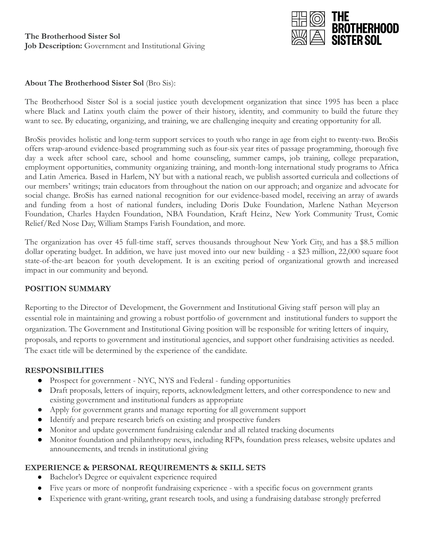

## **About The Brotherhood Sister Sol** (Bro Sis):

The Brotherhood Sister Sol is a social justice youth development organization that since 1995 has been a place where Black and Latinx youth claim the power of their history, identity, and community to build the future they want to see. By educating, organizing, and training, we are challenging inequity and creating opportunity for all.

BroSis provides holistic and long-term support services to youth who range in age from eight to twenty-two. BroSis offers wrap-around evidence-based programming such as four-six year rites of passage programming, thorough five day a week after school care, school and home counseling, summer camps, job training, college preparation, employment opportunities, community organizing training, and month-long international study programs to Africa and Latin America. Based in Harlem, NY but with a national reach, we publish assorted curricula and collections of our members' writings; train educators from throughout the nation on our approach; and organize and advocate for social change. BroSis has earned national recognition for our evidence-based model, receiving an array of awards and funding from a host of national funders, including Doris Duke Foundation, Marlene Nathan Meyerson Foundation, Charles Hayden Foundation, NBA Foundation, Kraft Heinz, New York Community Trust, Comic Relief/Red Nose Day, William Stamps Farish Foundation, and more.

The organization has over 45 full-time staff, serves thousands throughout New York City, and has a \$8.5 million dollar operating budget. In addition, we have just moved into our new building - a \$23 million, 22,000 square foot state-of-the-art beacon for youth development. It is an exciting period of organizational growth and increased impact in our community and beyond.

## **POSITION SUMMARY**

Reporting to the Director of Development, the Government and Institutional Giving staff person will play an essential role in maintaining and growing a robust portfolio of government and institutional funders to support the organization. The Government and Institutional Giving position will be responsible for writing letters of inquiry, proposals, and reports to government and institutional agencies, and support other fundraising activities as needed. The exact title will be determined by the experience of the candidate.

## **RESPONSIBILITIES**

- Prospect for government NYC, NYS and Federal funding opportunities
- Draft proposals, letters of inquiry, reports, acknowledgment letters, and other correspondence to new and existing government and institutional funders as appropriate
- Apply for government grants and manage reporting for all government support
- Identify and prepare research briefs on existing and prospective funders
- Monitor and update government fundraising calendar and all related tracking documents
- Monitor foundation and philanthropy news, including RFPs, foundation press releases, website updates and announcements, and trends in institutional giving

## **EXPERIENCE & PERSONAL REQUIREMENTS & SKILL SETS**

- Bachelor's Degree or equivalent experience required
- Five years or more of nonprofit fundraising experience with a specific focus on government grants
- Experience with grant-writing, grant research tools, and using a fundraising database strongly preferred